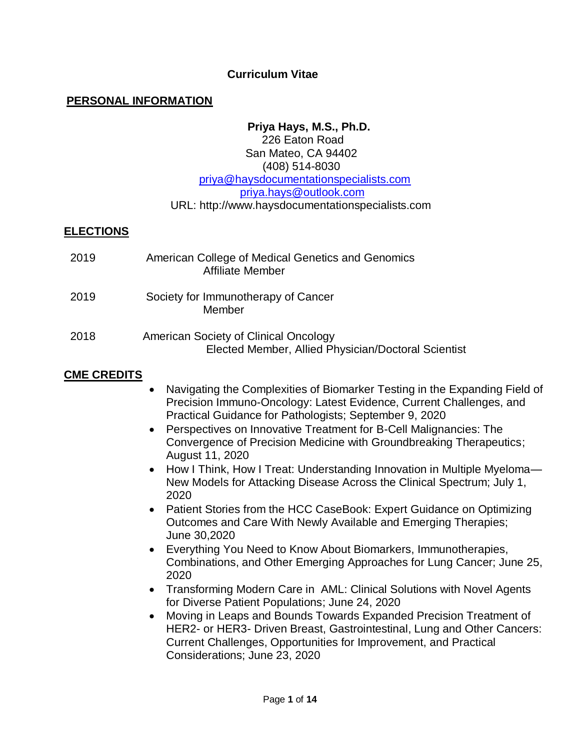## **Curriculum Vitae**

#### **PERSONAL INFORMATION**

#### **Priya Hays, M.S., Ph.D.**

#### 226 Eaton Road San Mateo, CA 94402 (408) 514-8030 [priya@haysdocumentationspecialists.com](mailto:priya@haysdocumentationspecialists.com) [priya.hays@outlook.com](mailto:priya.hays@outlook.com) URL: http://www.haysdocumentationspecialists.com

#### **ELECTIONS**

| 2019 | American College of Medical Genetics and Genomics<br><b>Affiliate Member</b>                 |
|------|----------------------------------------------------------------------------------------------|
| 2019 | Society for Immunotherapy of Cancer<br>Member                                                |
| 2018 | American Society of Clinical Oncology<br>Elected Member, Allied Physician/Doctoral Scientist |

#### **CME CREDITS**

- Navigating the Complexities of Biomarker Testing in the Expanding Field of Precision Immuno-Oncology: Latest Evidence, Current Challenges, and Practical Guidance for Pathologists; September 9, 2020
- Perspectives on Innovative Treatment for B-Cell Malignancies: The Convergence of Precision Medicine with Groundbreaking Therapeutics; August 11, 2020
- How I Think, How I Treat: Understanding Innovation in Multiple Myeloma-New Models for Attacking Disease Across the Clinical Spectrum; July 1, 2020
- Patient Stories from the HCC CaseBook: Expert Guidance on Optimizing Outcomes and Care With Newly Available and Emerging Therapies; June 30,2020
- Everything You Need to Know About Biomarkers, Immunotherapies, Combinations, and Other Emerging Approaches for Lung Cancer; June 25, 2020
- Transforming Modern Care in AML: Clinical Solutions with Novel Agents for Diverse Patient Populations; June 24, 2020
- Moving in Leaps and Bounds Towards Expanded Precision Treatment of HER2- or HER3- Driven Breast, Gastrointestinal, Lung and Other Cancers: Current Challenges, Opportunities for Improvement, and Practical Considerations; June 23, 2020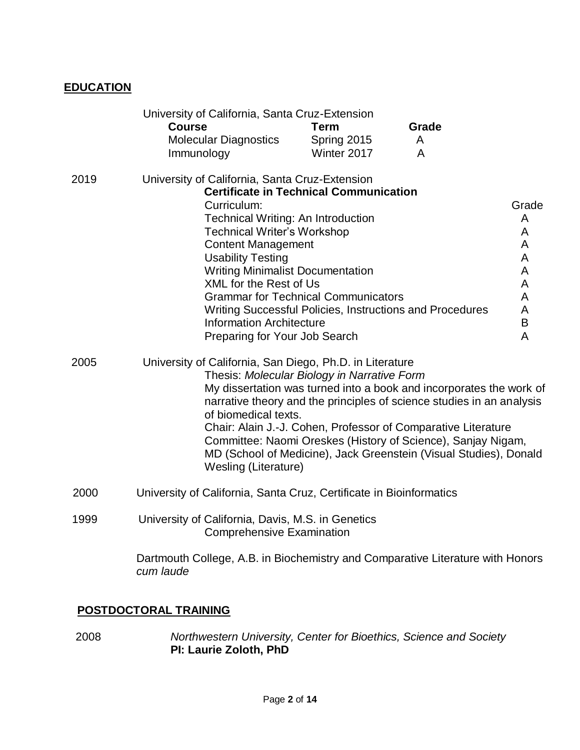# **EDUCATION**

|      | University of California, Santa Cruz-Extension<br><b>Course</b><br><b>Molecular Diagnostics</b><br>Immunology                                                                                                                                        | <b>Term</b><br>Spring 2015<br>Winter 2017     | Grade<br>A<br>A                                                                                                                                                                                                                                                                                                                                    |                                 |
|------|------------------------------------------------------------------------------------------------------------------------------------------------------------------------------------------------------------------------------------------------------|-----------------------------------------------|----------------------------------------------------------------------------------------------------------------------------------------------------------------------------------------------------------------------------------------------------------------------------------------------------------------------------------------------------|---------------------------------|
| 2019 | University of California, Santa Cruz-Extension<br>Curriculum:<br><b>Technical Writing: An Introduction</b><br><b>Technical Writer's Workshop</b><br><b>Content Management</b><br><b>Usability Testing</b><br><b>Writing Minimalist Documentation</b> | <b>Certificate in Technical Communication</b> |                                                                                                                                                                                                                                                                                                                                                    | Grade<br>A<br>A<br>A<br>A<br>A  |
|      | <b>XML for the Rest of Us</b><br><b>Information Architecture</b><br>Preparing for Your Job Search                                                                                                                                                    | <b>Grammar for Technical Communicators</b>    | Writing Successful Policies, Instructions and Procedures                                                                                                                                                                                                                                                                                           | A<br>A<br>A<br>$\mathsf B$<br>A |
| 2005 | University of California, San Diego, Ph.D. in Literature<br>of biomedical texts.<br><b>Wesling (Literature)</b>                                                                                                                                      | Thesis: Molecular Biology in Narrative Form   | My dissertation was turned into a book and incorporates the work of<br>narrative theory and the principles of science studies in an analysis<br>Chair: Alain J.-J. Cohen, Professor of Comparative Literature<br>Committee: Naomi Oreskes (History of Science), Sanjay Nigam,<br>MD (School of Medicine), Jack Greenstein (Visual Studies), Donald |                                 |
| 2000 | University of California, Santa Cruz, Certificate in Bioinformatics                                                                                                                                                                                  |                                               |                                                                                                                                                                                                                                                                                                                                                    |                                 |
| 1999 | University of California, Davis, M.S. in Genetics<br><b>Comprehensive Examination</b>                                                                                                                                                                |                                               |                                                                                                                                                                                                                                                                                                                                                    |                                 |
|      | Dartmouth College, A.B. in Biochemistry and Comparative Literature with Honors<br>cum laude                                                                                                                                                          |                                               |                                                                                                                                                                                                                                                                                                                                                    |                                 |

# **POSTDOCTORAL TRAINING**

 2008 *Northwestern University, Center for Bioethics, Science and Society* **PI: Laurie Zoloth, PhD**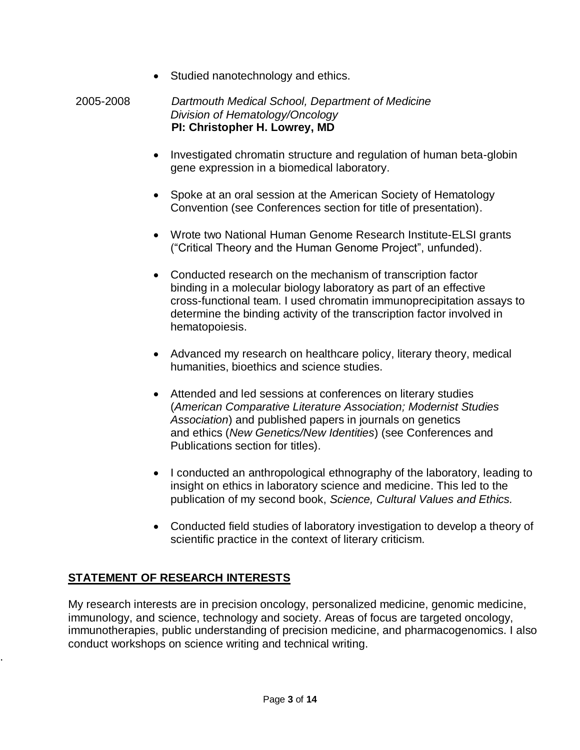• Studied nanotechnology and ethics.

#### 2005-2008 *Dartmouth Medical School, Department of Medicine Division of Hematology/Oncology*  **PI: Christopher H. Lowrey, MD**

- Investigated chromatin structure and regulation of human beta-globin gene expression in a biomedical laboratory.
- Spoke at an oral session at the American Society of Hematology Convention (see Conferences section for title of presentation).
- Wrote two National Human Genome Research Institute-ELSI grants ("Critical Theory and the Human Genome Project", unfunded).
- Conducted research on the mechanism of transcription factor binding in a molecular biology laboratory as part of an effective cross-functional team. I used chromatin immunoprecipitation assays to determine the binding activity of the transcription factor involved in hematopoiesis.
- Advanced my research on healthcare policy, literary theory, medical humanities, bioethics and science studies.
- Attended and led sessions at conferences on literary studies (*American Comparative Literature Association; Modernist Studies Association*) and published papers in journals on genetics and ethics (*New Genetics/New Identities*) (see Conferences and Publications section for titles).
- I conducted an anthropological ethnography of the laboratory, leading to insight on ethics in laboratory science and medicine. This led to the publication of my second book, *Science, Cultural Values and Ethics.*
- Conducted field studies of laboratory investigation to develop a theory of scientific practice in the context of literary criticism.

# **STATEMENT OF RESEARCH INTERESTS**

.

My research interests are in precision oncology, personalized medicine, genomic medicine, immunology, and science, technology and society. Areas of focus are targeted oncology, immunotherapies, public understanding of precision medicine, and pharmacogenomics. I also conduct workshops on science writing and technical writing.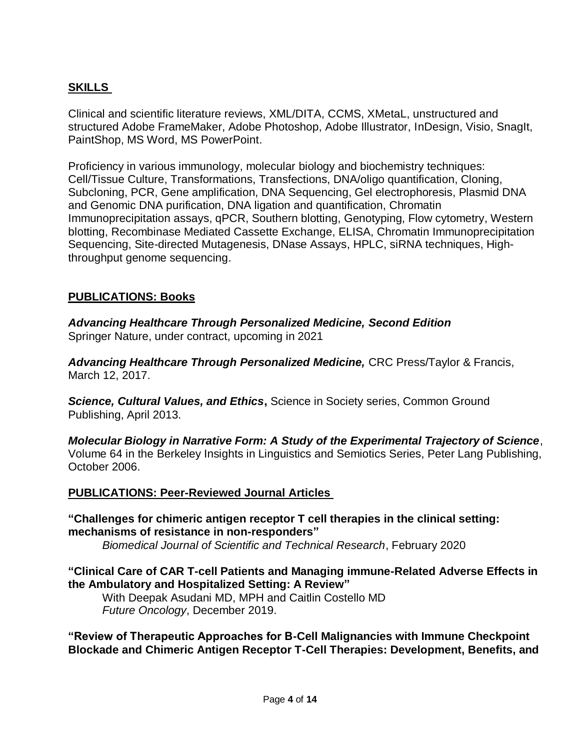# **SKILLS**

Clinical and scientific literature reviews, XML/DITA, CCMS, XMetaL, unstructured and structured Adobe FrameMaker, Adobe Photoshop, Adobe Illustrator, InDesign, Visio, SnagIt, PaintShop, MS Word, MS PowerPoint.

Proficiency in various immunology, molecular biology and biochemistry techniques: Cell/Tissue Culture, Transformations, Transfections, DNA/oligo quantification, Cloning, Subcloning, PCR, Gene amplification, DNA Sequencing, Gel electrophoresis, Plasmid DNA and Genomic DNA purification, DNA ligation and quantification, Chromatin Immunoprecipitation assays, qPCR, Southern blotting, Genotyping, Flow cytometry, Western blotting, Recombinase Mediated Cassette Exchange, ELISA, Chromatin Immunoprecipitation Sequencing, Site-directed Mutagenesis, DNase Assays, HPLC, siRNA techniques, Highthroughput genome sequencing.

## **PUBLICATIONS: Books**

*Advancing Healthcare Through Personalized Medicine, Second Edition* Springer Nature, under contract, upcoming in 2021

*Advancing Healthcare Through Personalized Medicine,* CRC Press/Taylor & Francis, March 12, 2017.

**Science, Cultural Values, and Ethics, Science in Society series, Common Ground** Publishing, April 2013.

*Molecular Biology in Narrative Form: A Study of the Experimental Trajectory of Science*, Volume 64 in the Berkeley Insights in Linguistics and Semiotics Series, Peter Lang Publishing, October 2006.

#### **PUBLICATIONS: Peer-Reviewed Journal Articles**

**"Challenges for chimeric antigen receptor T cell therapies in the clinical setting: mechanisms of resistance in non-responders"**

*Biomedical Journal of Scientific and Technical Research*, February 2020

#### **"Clinical Care of CAR T-cell Patients and Managing immune-Related Adverse Effects in the Ambulatory and Hospitalized Setting: A Review"**

With Deepak Asudani MD, MPH and Caitlin Costello MD *Future Oncology*, December 2019.

**"Review of Therapeutic Approaches for B-Cell Malignancies with Immune Checkpoint Blockade and Chimeric Antigen Receptor T-Cell Therapies: Development, Benefits, and**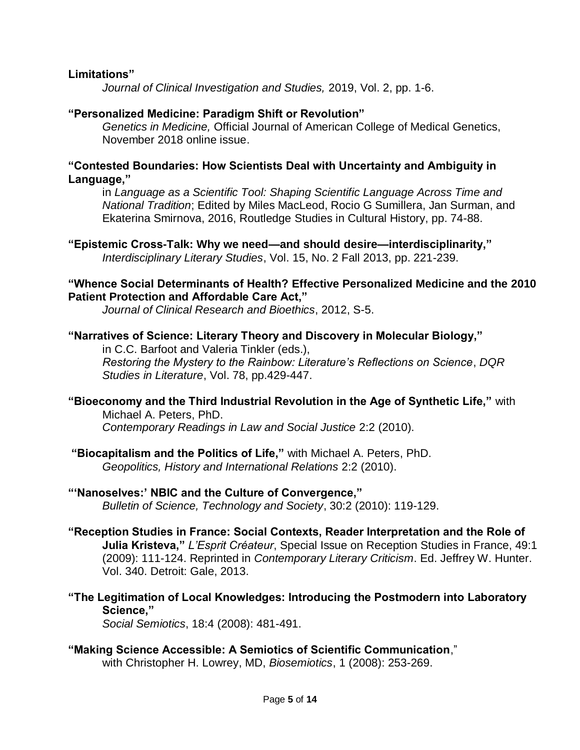#### **Limitations"**

*Journal of Clinical Investigation and Studies,* 2019, Vol. 2, pp. 1-6.

#### **"Personalized Medicine: Paradigm Shift or Revolution"**

*Genetics in Medicine,* Official Journal of American College of Medical Genetics, November 2018 online issue.

#### **"Contested Boundaries: How Scientists Deal with Uncertainty and Ambiguity in Language,"**

in *Language as a Scientific Tool: Shaping Scientific Language Across Time and National Tradition*; Edited by Miles MacLeod, Rocio G Sumillera, Jan Surman, and Ekaterina Smirnova, 2016, Routledge Studies in Cultural History, pp. 74-88.

**"Epistemic Cross-Talk: Why we need—and should desire—interdisciplinarity,"**  *Interdisciplinary Literary Studies*, Vol. 15, No. 2 Fall 2013, pp. 221-239.

#### **"Whence Social Determinants of Health? Effective Personalized Medicine and the 2010 Patient Protection and Affordable Care Act,"**

*Journal of Clinical Research and Bioethics*, 2012, S-5.

#### **"Narratives of Science: Literary Theory and Discovery in Molecular Biology,"**

in C.C. Barfoot and Valeria Tinkler (eds.), *Restoring the Mystery to the Rainbow: Literature's Reflections on Science*, *DQR Studies in Literature*, Vol. 78, pp.429-447.

#### **"Bioeconomy and the Third Industrial Revolution in the Age of Synthetic Life,"** with Michael A. Peters, PhD. *Contemporary Readings in Law and Social Justice* 2:2 (2010).

**"Biocapitalism and the Politics of Life,"** with Michael A. Peters, PhD. *Geopolitics, History and International Relations* 2:2 (2010).

#### **"'Nanoselves:' NBIC and the Culture of Convergence,"**  *Bulletin of Science, Technology and Society*, 30:2 (2010): 119-129.

- **"Reception Studies in France: Social Contexts, Reader Interpretation and the Role of Julia Kristeva,"** *L'Esprit Créateur*, Special Issue on Reception Studies in France, 49:1 (2009): 111-124. Reprinted in *Contemporary Literary Criticism*. Ed. Jeffrey W. Hunter. Vol. 340. Detroit: Gale, 2013.
- **"The Legitimation of Local Knowledges: Introducing the Postmodern into Laboratory Science,"**

*Social Semiotics*, 18:4 (2008): 481-491.

#### **"Making Science Accessible: A Semiotics of Scientific Communication**," with Christopher H. Lowrey, MD, *Biosemiotics*, 1 (2008): 253-269.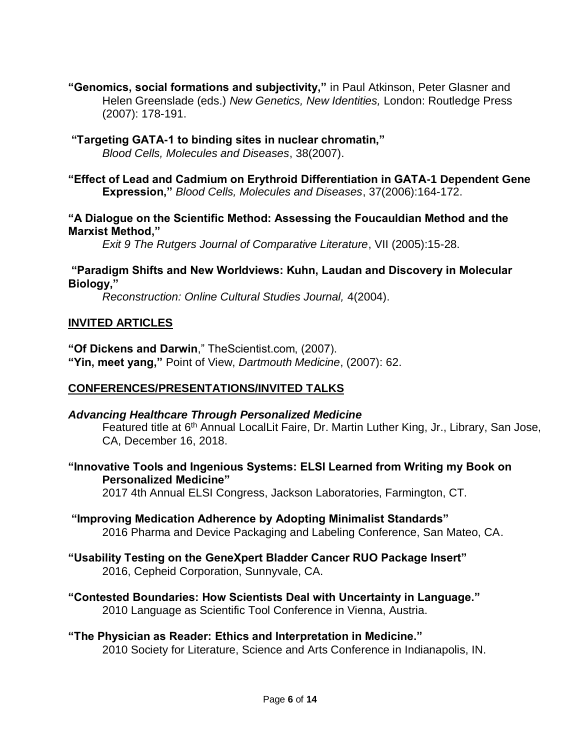**"Genomics, social formations and subjectivity,"** in Paul Atkinson, Peter Glasner and Helen Greenslade (eds.) *New Genetics, New Identities,* London: Routledge Press (2007): 178-191.

**"Targeting GATA-1 to binding sites in nuclear chromatin,"**  *Blood Cells, Molecules and Diseases*, 38(2007).

## **"Effect of Lead and Cadmium on Erythroid Differentiation in GATA-1 Dependent Gene Expression,"** *Blood Cells, Molecules and Diseases*, 37(2006):164-172.

#### **"A Dialogue on the Scientific Method: Assessing the Foucauldian Method and the Marxist Method,"**

*Exit 9 The Rutgers Journal of Comparative Literature*, VII (2005):15-28.

#### **"Paradigm Shifts and New Worldviews: Kuhn, Laudan and Discovery in Molecular Biology,"**

*Reconstruction: Online Cultural Studies Journal,* 4(2004).

# **INVITED ARTICLES**

**"Of Dickens and Darwin**," TheScientist.com, (2007). **"Yin, meet yang,"** Point of View, *Dartmouth Medicine*, (2007): 62.

# **CONFERENCES/PRESENTATIONS/INVITED TALKS**

#### *Advancing Healthcare Through Personalized Medicine* Featured title at 6<sup>th</sup> Annual LocalLit Faire, Dr. Martin Luther King, Jr., Library, San Jose, CA, December 16, 2018.

## **"Innovative Tools and Ingenious Systems: ELSI Learned from Writing my Book on Personalized Medicine"**

2017 4th Annual ELSI Congress, Jackson Laboratories, Farmington, CT.

## **"Improving Medication Adherence by Adopting Minimalist Standards"** 2016 Pharma and Device Packaging and Labeling Conference, San Mateo, CA.

## **"Usability Testing on the GeneXpert Bladder Cancer RUO Package Insert"** 2016, Cepheid Corporation, Sunnyvale, CA.

**"Contested Boundaries: How Scientists Deal with Uncertainty in Language."** 2010 Language as Scientific Tool Conference in Vienna, Austria.

# **"The Physician as Reader: Ethics and Interpretation in Medicine."**

2010 Society for Literature, Science and Arts Conference in Indianapolis, IN.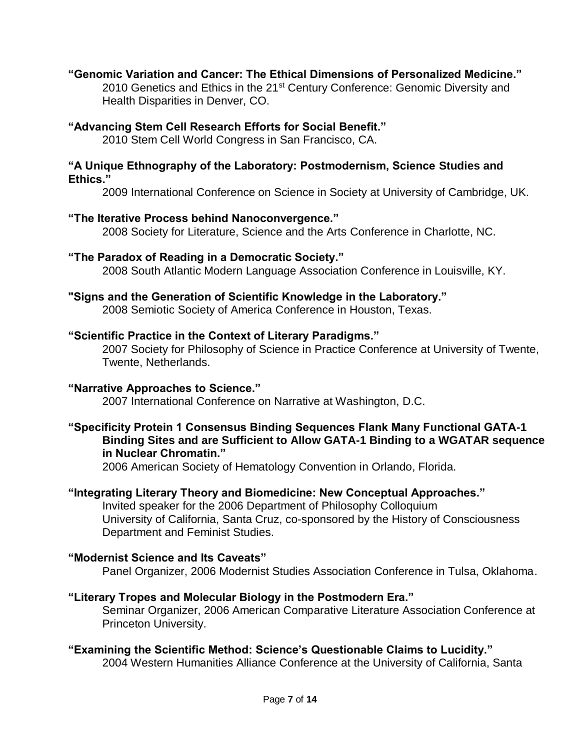# **"Genomic Variation and Cancer: The Ethical Dimensions of Personalized Medicine."**

2010 Genetics and Ethics in the 21<sup>st</sup> Century Conference: Genomic Diversity and Health Disparities in Denver, CO.

#### **"Advancing Stem Cell Research Efforts for Social Benefit."**

2010 Stem Cell World Congress in San Francisco, CA.

#### **"A Unique Ethnography of the Laboratory: Postmodernism, Science Studies and Ethics."**

2009 International Conference on Science in Society at University of Cambridge, UK.

# **"The Iterative Process behind Nanoconvergence."**

2008 Society for Literature, Science and the Arts Conference in Charlotte, NC.

# **"The Paradox of Reading in a Democratic Society."**

2008 South Atlantic Modern Language Association Conference in Louisville, KY.

# **"Signs and the Generation of Scientific Knowledge in the Laboratory."**

2008 Semiotic Society of America Conference in Houston, Texas.

## **"Scientific Practice in the Context of Literary Paradigms."**

2007 Society for Philosophy of Science in Practice Conference at University of Twente, Twente, Netherlands.

# **"Narrative Approaches to Science."**

2007 International Conference on Narrative at Washington, D.C.

#### **"Specificity Protein 1 Consensus Binding Sequences Flank Many Functional GATA-1 Binding Sites and are Sufficient to Allow GATA-1 Binding to a WGATAR sequence in Nuclear Chromatin."**

2006 American Society of Hematology Convention in Orlando, Florida.

# **"Integrating Literary Theory and Biomedicine: New Conceptual Approaches."**

Invited speaker for the 2006 Department of Philosophy Colloquium University of California, Santa Cruz, co-sponsored by the History of Consciousness Department and Feminist Studies.

# **"Modernist Science and Its Caveats"**

Panel Organizer, 2006 Modernist Studies Association Conference in Tulsa, Oklahoma.

# **"Literary Tropes and Molecular Biology in the Postmodern Era."**

Seminar Organizer, 2006 American Comparative Literature Association Conference at Princeton University.

# **"Examining the Scientific Method: Science's Questionable Claims to Lucidity."**

2004 Western Humanities Alliance Conference at the University of California, Santa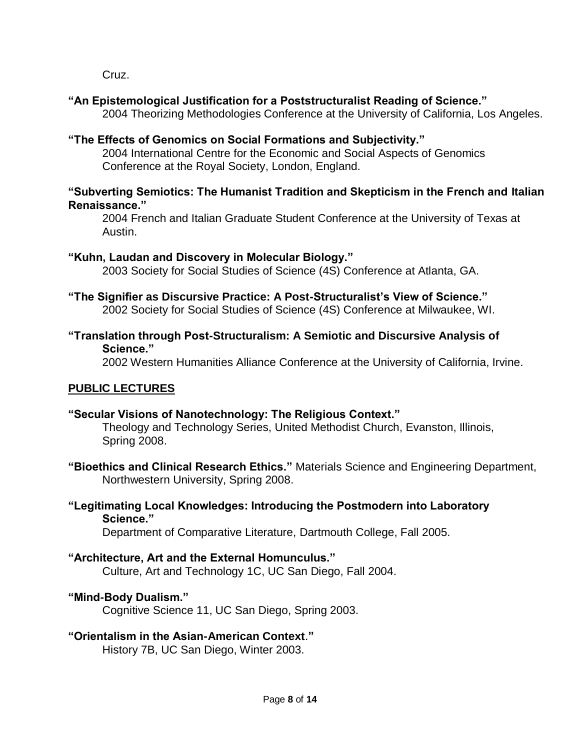Cruz.

# **"An Epistemological Justification for a Poststructuralist Reading of Science."**

2004 Theorizing Methodologies Conference at the University of California, Los Angeles.

# **"The Effects of Genomics on Social Formations and Subjectivity."**

2004 International Centre for the Economic and Social Aspects of Genomics Conference at the Royal Society, London, England.

#### **"Subverting Semiotics: The Humanist Tradition and Skepticism in the French and Italian Renaissance."**

2004 French and Italian Graduate Student Conference at the University of Texas at Austin.

# **"Kuhn, Laudan and Discovery in Molecular Biology."**

2003 Society for Social Studies of Science (4S) Conference at Atlanta, GA.

# **"The Signifier as Discursive Practice: A Post-Structuralist's View of Science."**

2002 Society for Social Studies of Science (4S) Conference at Milwaukee, WI.

## **"Translation through Post-Structuralism: A Semiotic and Discursive Analysis of Science."**

2002 Western Humanities Alliance Conference at the University of California, Irvine.

# **PUBLIC LECTURES**

# **"Secular Visions of Nanotechnology: The Religious Context."**

Theology and Technology Series, United Methodist Church, Evanston, Illinois, Spring 2008.

**"Bioethics and Clinical Research Ethics."** Materials Science and Engineering Department, Northwestern University, Spring 2008.

## **"Legitimating Local Knowledges: Introducing the Postmodern into Laboratory Science."**

Department of Comparative Literature, Dartmouth College, Fall 2005.

# **"Architecture, Art and the External Homunculus."**

Culture, Art and Technology 1C, UC San Diego, Fall 2004.

# **"Mind-Body Dualism."**

Cognitive Science 11, UC San Diego, Spring 2003.

# **"Orientalism in the Asian-American Context**.**"**

History 7B, UC San Diego, Winter 2003.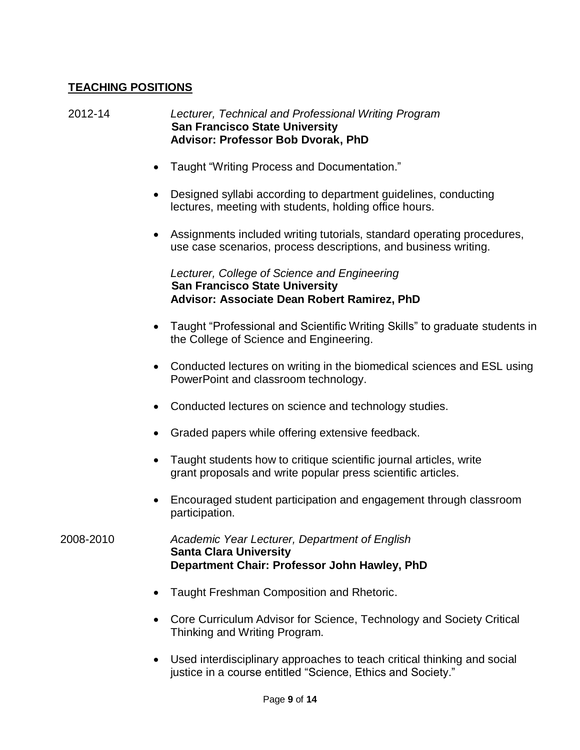# **TEACHING POSITIONS**

2012-14 *Lecturer, Technical and Professional Writing Program*  **San Francisco State University Advisor: Professor Bob Dvorak, PhD**

- Taught "Writing Process and Documentation."
- Designed syllabi according to department guidelines, conducting lectures, meeting with students, holding office hours.
- Assignments included writing tutorials, standard operating procedures, use case scenarios, process descriptions, and business writing.

*Lecturer, College of Science and Engineering*  **San Francisco State University Advisor: Associate Dean Robert Ramirez, PhD**

- Taught "Professional and Scientific Writing Skills" to graduate students in the College of Science and Engineering.
- Conducted lectures on writing in the biomedical sciences and ESL using PowerPoint and classroom technology.
- Conducted lectures on science and technology studies.
- Graded papers while offering extensive feedback.
- Taught students how to critique scientific journal articles, write grant proposals and write popular press scientific articles.
- Encouraged student participation and engagement through classroom participation.

2008-2010 *Academic Year Lecturer, Department of English* **Santa Clara University Department Chair: Professor John Hawley, PhD**

- Taught Freshman Composition and Rhetoric.
- Core Curriculum Advisor for Science, Technology and Society Critical Thinking and Writing Program.
- Used interdisciplinary approaches to teach critical thinking and social justice in a course entitled "Science, Ethics and Society."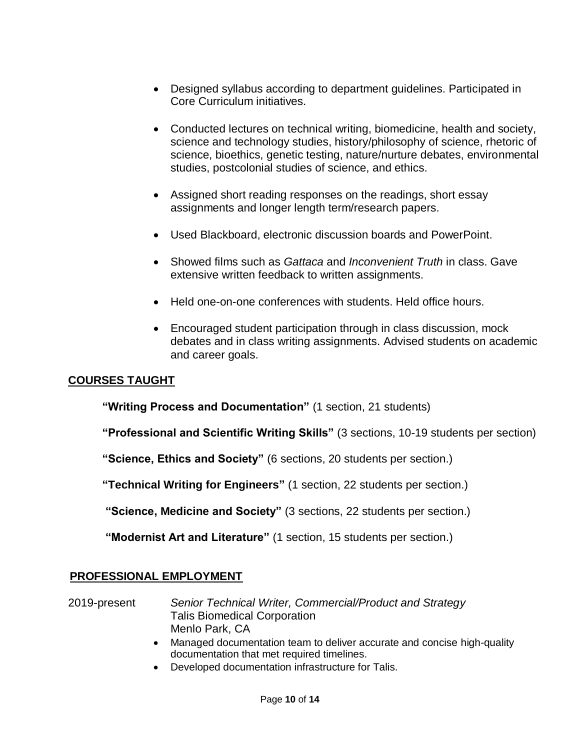- Designed syllabus according to department guidelines. Participated in Core Curriculum initiatives.
- Conducted lectures on technical writing, biomedicine, health and society, science and technology studies, history/philosophy of science, rhetoric of science, bioethics, genetic testing, nature/nurture debates, environmental studies, postcolonial studies of science, and ethics.
- Assigned short reading responses on the readings, short essay assignments and longer length term/research papers.
- Used Blackboard, electronic discussion boards and PowerPoint.
- Showed films such as *Gattaca* and *Inconvenient Truth* in class. Gave extensive written feedback to written assignments.
- Held one-on-one conferences with students. Held office hours.
- Encouraged student participation through in class discussion, mock debates and in class writing assignments. Advised students on academic and career goals.

# **COURSES TAUGHT**

**"Writing Process and Documentation"** (1 section, 21 students)

**"Professional and Scientific Writing Skills"** (3 sections, 10-19 students per section)

**"Science, Ethics and Society"** (6 sections, 20 students per section.)

**"Technical Writing for Engineers"** (1 section, 22 students per section.)

**"Science, Medicine and Society"** (3 sections, 22 students per section.)

**"Modernist Art and Literature"** (1 section, 15 students per section.)

#### **PROFESSIONAL EMPLOYMENT**

#### 2019-present *Senior Technical Writer, Commercial/Product and Strategy* Talis Biomedical Corporation Menlo Park, CA

- Managed documentation team to deliver accurate and concise high-quality documentation that met required timelines.
- Developed documentation infrastructure for Talis.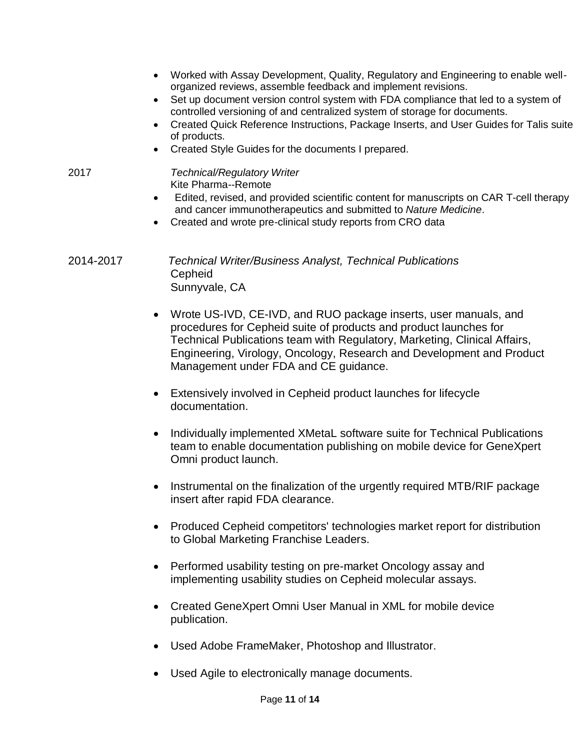- Worked with Assay Development, Quality, Regulatory and Engineering to enable wellorganized reviews, assemble feedback and implement revisions.
- Set up document version control system with FDA compliance that led to a system of controlled versioning of and centralized system of storage for documents.
- Created Quick Reference Instructions, Package Inserts, and User Guides for Talis suite of products.
- Created Style Guides for the documents I prepared.

#### 2017 *Technical/Regulatory Writer* Kite Pharma--Remote

- Edited, revised, and provided scientific content for manuscripts on CAR T-cell therapy and cancer immunotherapeutics and submitted to *Nature Medicine*.
- Created and wrote pre-clinical study reports from CRO data

# 2014-2017 *Technical Writer/Business Analyst, Technical Publications* **Cepheid** Sunnyvale, CA

- Wrote US-IVD, CE-IVD, and RUO package inserts, user manuals, and procedures for Cepheid suite of products and product launches for Technical Publications team with Regulatory, Marketing, Clinical Affairs, Engineering, Virology, Oncology, Research and Development and Product Management under FDA and CE guidance.
- Extensively involved in Cepheid product launches for lifecycle documentation.
- Individually implemented XMetaL software suite for Technical Publications team to enable documentation publishing on mobile device for GeneXpert Omni product launch.
- Instrumental on the finalization of the urgently required MTB/RIF package insert after rapid FDA clearance.
- Produced Cepheid competitors' technologies market report for distribution to Global Marketing Franchise Leaders.
- Performed usability testing on pre-market Oncology assay and implementing usability studies on Cepheid molecular assays.
- Created GeneXpert Omni User Manual in XML for mobile device publication.
- Used Adobe FrameMaker, Photoshop and Illustrator.
- Used Agile to electronically manage documents.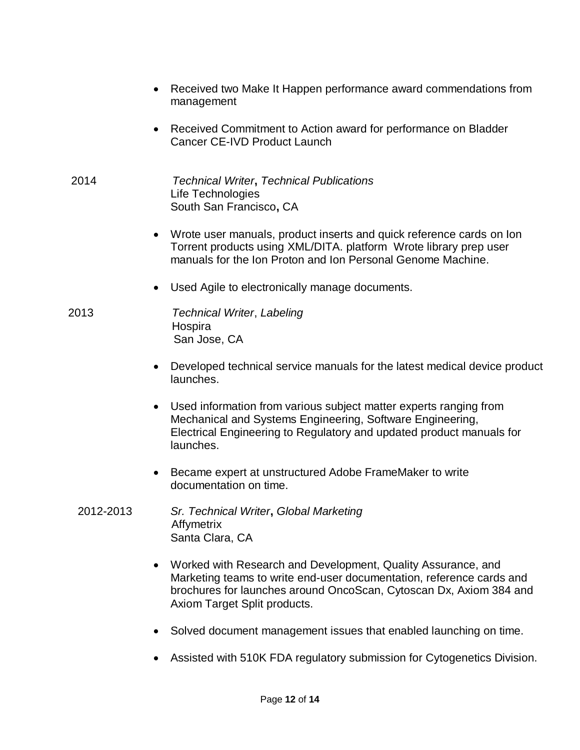- Received two Make It Happen performance award commendations from management
- Received Commitment to Action award for performance on Bladder Cancer CE-IVD Product Launch
- 2014 *Technical Writer***,** *Technical Publications* Life Technologies South San Francisco**,** CA
	- Wrote user manuals, product inserts and quick reference cards on Ion Torrent products using XML/DITA. platform Wrote library prep user manuals for the Ion Proton and Ion Personal Genome Machine.
	- Used Agile to electronically manage documents.
- 2013 *Technical Writer*, *Labeling* Hospira San Jose, CA
	- Developed technical service manuals for the latest medical device product launches.
	- Used information from various subject matter experts ranging from Mechanical and Systems Engineering, Software Engineering, Electrical Engineering to Regulatory and updated product manuals for launches.
	- Became expert at unstructured Adobe FrameMaker to write documentation on time.
	- 2012-2013 *Sr. Technical Writer***,** *Global Marketing* Affymetrix Santa Clara, CA
		- Worked with Research and Development, Quality Assurance, and Marketing teams to write end-user documentation, reference cards and brochures for launches around OncoScan, Cytoscan Dx, Axiom 384 and Axiom Target Split products.
		- Solved document management issues that enabled launching on time.
		- Assisted with 510K FDA regulatory submission for Cytogenetics Division.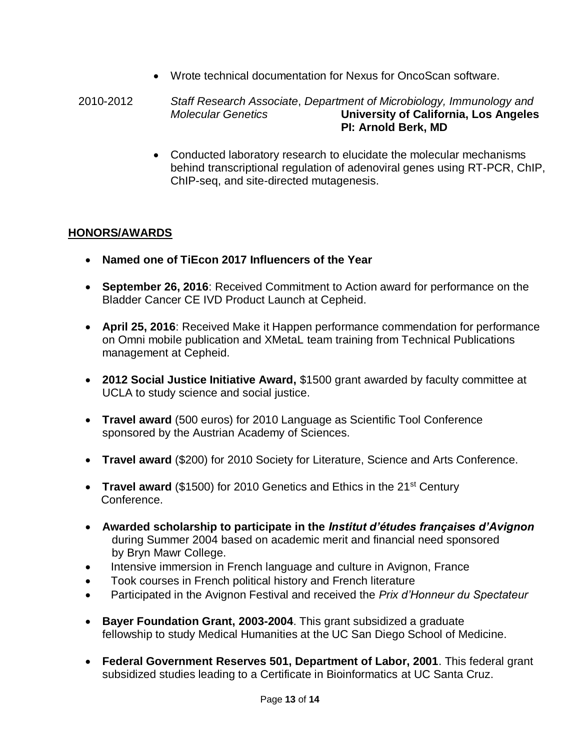Wrote technical documentation for Nexus for OncoScan software.

 2010-2012 *Staff Research Associate*, *Department of Microbiology, Immunology and Molecular Genetics* **University of California, Los Angeles PI: Arnold Berk, MD**

 Conducted laboratory research to elucidate the molecular mechanisms behind transcriptional regulation of adenoviral genes using RT-PCR, ChIP, ChIP-seq, and site-directed mutagenesis.

## **HONORS/AWARDS**

- **Named one of TiEcon 2017 Influencers of the Year**
- **September 26, 2016**: Received Commitment to Action award for performance on the Bladder Cancer CE IVD Product Launch at Cepheid.
- **April 25, 2016**: Received Make it Happen performance commendation for performance on Omni mobile publication and XMetaL team training from Technical Publications management at Cepheid.
- **2012 Social Justice Initiative Award,** \$1500 grant awarded by faculty committee at UCLA to study science and social justice.
- **Travel award** (500 euros) for 2010 Language as Scientific Tool Conference sponsored by the Austrian Academy of Sciences.
- **Travel award** (\$200) for 2010 Society for Literature, Science and Arts Conference.
- **Travel award** (\$1500) for 2010 Genetics and Ethics in the 21<sup>st</sup> Century Conference.
- **Awarded scholarship to participate in the** *Institut d'études françaises d'Avignon* during Summer 2004 based on academic merit and financial need sponsored by Bryn Mawr College.
- Intensive immersion in French language and culture in Avignon, France
- Took courses in French political history and French literature
- Participated in the Avignon Festival and received the *Prix d'Honneur du Spectateur*
- **Bayer Foundation Grant, 2003-2004**. This grant subsidized a graduate fellowship to study Medical Humanities at the UC San Diego School of Medicine.
- **Federal Government Reserves 501, Department of Labor, 2001**. This federal grant subsidized studies leading to a Certificate in Bioinformatics at UC Santa Cruz.